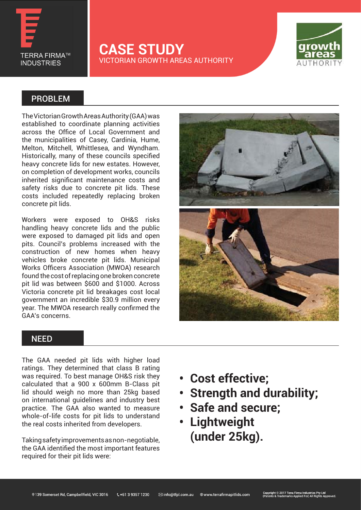

### **CASE STUDY** VICTORIAN GROWTH AREAS AUTHORITY



### PROBLEM

The Victorian Growth Areas Authority (GAA) was established to coordinate planning activities across the Office of Local Government and the municipalities of Casey, Cardinia, Hume, Melton, Mitchell, Whittlesea, and Wyndham. Historically, many of these councils specified heavy concrete lids for new estates. However, on completion of development works, councils inherited significant maintenance costs and safety risks due to concrete pit lids. These costs included repeatedly replacing broken concrete pit lids.

Workers were exposed to OH&S risks handling heavy concrete lids and the public were exposed to damaged pit lids and open pits. Council's problems increased with the construction of new homes when heavy vehicles broke concrete pit lids. Municipal Works Officers Association (MWOA) research found the cost of replacing one broken concrete pit lid was between \$600 and \$1000. Across Victoria concrete pit lid breakages cost local government an incredible \$30.9 million every year. The MWOA research really confirmed the GAA's concerns.



#### **NEED**

The GAA needed pit lids with higher load ratings. They determined that class B rating was required. To best manage OH&S risk they calculated that a 900 x 600mm B-Class pit lid should weigh no more than 25kg based on international guidelines and industry best practice. The GAA also wanted to measure whole-of-life costs for pit lids to understand the real costs inherited from developers.

Taking safety improvements as non-negotiable, the GAA identified the most important features required for their pit lids were:

- **• Cost effective;**
- **• Strength and durability;**
- **• Safe and secure;**
- **• Lightweight (under 25kg).**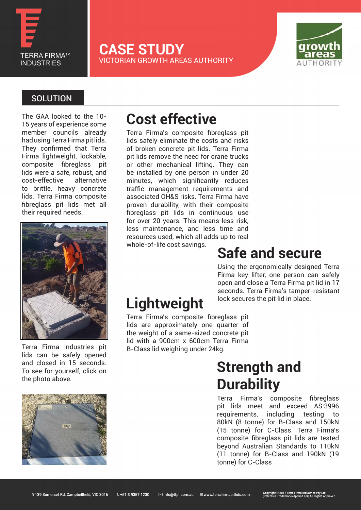

**CASE STUDY** VICTORIAN GROWTH AREAS AUTHORITY



### **SOLUTION**

The GAA looked to the 10- 15 years of experience some member councils already had using Terra Firma pit lids. They confirmed that Terra Firma lightweight, lockable, composite fibreglass pit lids were a safe, robust, and cost-effective alternative to brittle, heavy concrete lids. Terra Firma composite fibreglass pit lids met all their required needs.



Terra Firma industries pit lids can be safely opened and closed in 15 seconds. To see for yourself, click on the photo above.



Terra Firma's composite fibreglass pit lids safely eliminate the costs and risks of broken concrete pit lids. Terra Firma pit lids remove the need for crane trucks or other mechanical lifting. They can be installed by one person in under 20 minutes, which significantly reduces traffic management requirements and associated OH&S risks. Terra Firma have proven durability, with their composite fibreglass pit lids in continuous use for over 20 years. This means less risk, less maintenance, and less time and resources used, which all adds up to real

whole-of-life cost savings.

### **Safe and secure**

Using the ergonomically designed Terra Firma key lifter, one person can safely open and close a Terra Firma pit lid in 17 seconds. Terra Firma's tamper-resistant lock secures the pit lid in place.

# **Lightweight**

Terra Firma's composite fibreglass pit lids are approximately one quarter of the weight of a same-sized concrete pit lid with a 900cm x 600cm Terra Firma B-Class lid weighing under 24kg.

## **Strength and Durability**

Terra Firma's composite fibreglass pit lids meet and exceed AS:3996 requirements, including testing to 80kN (8 tonne) for B-Class and 150kN (15 tonne) for C-Class. Terra Firma's composite fibreglass pit lids are tested beyond Australian Standards to 110kN (11 tonne) for B-Class and 190kN (19 tonne) for C-Class